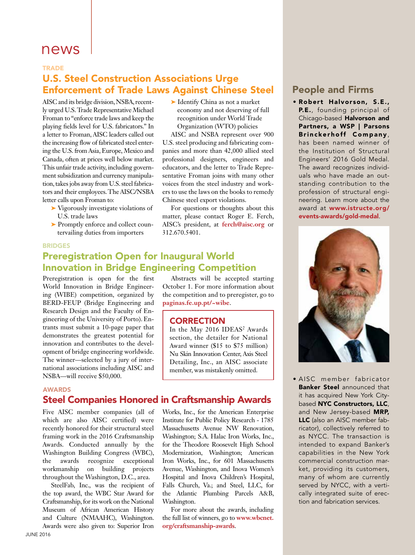# news

#### **TRADE**

# U.S. Steel Construction Associations Urge Enforcement of Trade Laws Against Chinese Steel

AISC and its bridge division, NSBA, recently urged U.S. Trade Representative Michael Froman to "enforce trade laws and keep the playing fields level for U.S. fabricators." In a letter to Froman, AISC leaders called out the increasing flow of fabricated steel entering the U.S. from Asia, Europe, Mexico and Canada, often at prices well below market. This unfair trade activity, including government subsidization and currency manipulation, takes jobs away from U.S. steel fabricators and their employees. The AISC/NSBA letter calls upon Froman to:

- ➤ Vigorously investigate violations of U.S. trade laws
- ► Promptly enforce and collect countervailing duties from importers

#### BRIDGES

# Preregistration Open for Inaugural World Innovation in Bridge Engineering Competition

Preregistration is open for the first World Innovation in Bridge Engineering (WIBE) competition, organized by BERD-FEUP (Bridge Engineering and Research Design and the Faculty of Engineering of the University of Porto). Entrants must submit a 10-page paper that demonstrates the greatest potential for innovation and contributes to the development of bridge engineering worldwide. The winner—selected by a jury of international associations including AISC and NSBA—will receive \$50,000.

#### AWARDS

# Steel Companies Honored in Craftsmanship Awards

Five AISC member companies (all of which are also AISC certified) were recently honored for their structural steel framing work in the 2016 Craftsmanship Awards. Conducted annually by the Washington Building Congress (WBC), the awards recognize exceptional workmanship on building projects throughout the Washington, D.C., area.

SteelFab, Inc., was the recipient of the top award, the WBC Star Award for Craftsmanship, for its work on the National Museum of African American History and Culture (NMAAHC), Washington. Awards were also given to: Superior Iron ➤ Identify China as not a market economy and not deserving of full recognition under World Trade Organization (WTO) policies

AISC and NSBA represent over 900 U.S. steel producing and fabricating companies and more than 42,000 allied steel professional designers, engineers and educators, and the letter to Trade Representative Froman joins with many other voices from the steel industry and workers to use the laws on the books to remedy Chinese steel export violations.

For questions or thoughts about this matter, please contact Roger E. Ferch, AISC's president, at **ferch@aisc.org** or 312.670.5401.

#### Abstracts will be accepted starting October 1. For more information about the competition and to preregister, go to **paginas.fe.up.pt/~wibe**.

#### **CORRECTION**

In the May 2016 IDEAS<sup>2</sup> Awards section, the detailer for National Award winner (\$15 to \$75 million) Nu Skin Innovation Center, Axis Steel Detailing, Inc., an AISC associate member, was mistakenly omitted.

Works, Inc., for the American Enterprise Institute for Public Policy Research - 1785 Massachusetts Avenue NW Renovation, Washington; S.A. Halac Iron Works, Inc., for the Theodore Roosevelt High School Modernization, Washington; American Iron Works, Inc., for 601 Massachusetts Avenue, Washington, and Inova Women's Hospital and Inova Children's Hospital, Falls Church, Va.; and Steel, LLC, for the Atlantic Plumbing Parcels A&B, Washington.

For more about the awards, including the full list of winners, go to **www.wbcnet. org/craftsmanship-awards**.

### People and Firms

• Robert Halvorson, S.E., P.E., founding principal of Chicago-based Halvorson and Partners, a WSP | Parsons Brinckerhoff Company , has been named winner of the Institution of Structural Engineers' 2016 Gold Medal. The award recognizes individuals who have made an outstanding contribution to the profession of structural engineering. Learn more about the award at www.istructe.org/ events-awards/gold-medal.



• AISC member fabricator **Banker Steel** announced that it has acquired New York Citybased NYC Constructors, LLC, and New Jersey-based MRP, LLC (also an AISC member fabricator), collectively referred to as NYCC. The transaction is intended to expand Banker's capabilities in the New York commercial construction market, providing its customers, many of whom are currently served by NYCC, with a vertically integrated suite of erection and fabrication services.